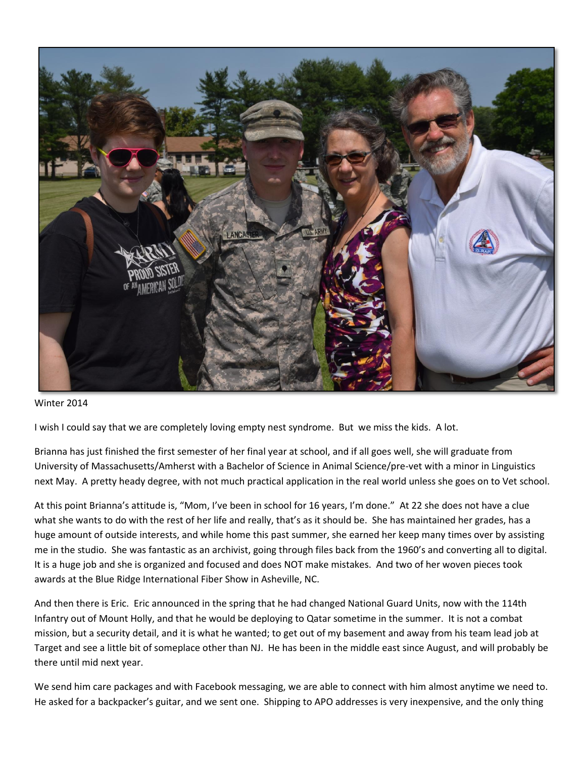

## Winter 2014

I wish I could say that we are completely loving empty nest syndrome. But we miss the kids. A lot.

Brianna has just finished the first semester of her final year at school, and if all goes well, she will graduate from University of Massachusetts/Amherst with a Bachelor of Science in Animal Science/pre-vet with a minor in Linguistics next May. A pretty heady degree, with not much practical application in the real world unless she goes on to Vet school.

At this point Brianna's attitude is, "Mom, I've been in school for 16 years, I'm done." At 22 she does not have a clue what she wants to do with the rest of her life and really, that's as it should be. She has maintained her grades, has a huge amount of outside interests, and while home this past summer, she earned her keep many times over by assisting me in the studio. She was fantastic as an archivist, going through files back from the 1960's and converting all to digital. It is a huge job and she is organized and focused and does NOT make mistakes. And two of her woven pieces took awards at the Blue Ridge International Fiber Show in Asheville, NC.

And then there is Eric. Eric announced in the spring that he had changed National Guard Units, now with the 114th Infantry out of Mount Holly, and that he would be deploying to Qatar sometime in the summer. It is not a combat mission, but a security detail, and it is what he wanted; to get out of my basement and away from his team lead job at Target and see a little bit of someplace other than NJ. He has been in the middle east since August, and will probably be there until mid next year.

We send him care packages and with Facebook messaging, we are able to connect with him almost anytime we need to. He asked for a backpacker's guitar, and we sent one. Shipping to APO addresses is very inexpensive, and the only thing